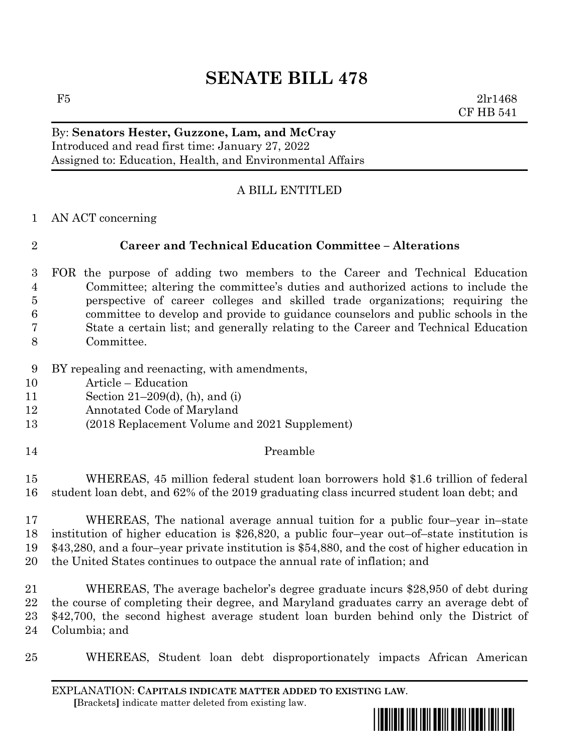# **SENATE BILL 478**

 $F5$  2lr1468 CF HB 541

#### By: **Senators Hester, Guzzone, Lam, and McCray** Introduced and read first time: January 27, 2022 Assigned to: Education, Health, and Environmental Affairs

# A BILL ENTITLED

AN ACT concerning

# **Career and Technical Education Committee – Alterations**

- FOR the purpose of adding two members to the Career and Technical Education Committee; altering the committee's duties and authorized actions to include the perspective of career colleges and skilled trade organizations; requiring the committee to develop and provide to guidance counselors and public schools in the State a certain list; and generally relating to the Career and Technical Education Committee.
- 
- BY repealing and reenacting, with amendments,
- Article Education
- Section 21–209(d), (h), and (i)
- Annotated Code of Maryland
- (2018 Replacement Volume and 2021 Supplement)
- Preamble

 WHEREAS, 45 million federal student loan borrowers hold \$1.6 trillion of federal student loan debt, and 62% of the 2019 graduating class incurred student loan debt; and

 WHEREAS, The national average annual tuition for a public four–year in–state institution of higher education is \$26,820, a public four–year out–of–state institution is \$43,280, and a four–year private institution is \$54,880, and the cost of higher education in the United States continues to outpace the annual rate of inflation; and

 WHEREAS, The average bachelor's degree graduate incurs \$28,950 of debt during the course of completing their degree, and Maryland graduates carry an average debt of \$42,700, the second highest average student loan burden behind only the District of Columbia; and

WHEREAS, Student loan debt disproportionately impacts African American

EXPLANATION: **CAPITALS INDICATE MATTER ADDED TO EXISTING LAW**.  **[**Brackets**]** indicate matter deleted from existing law.

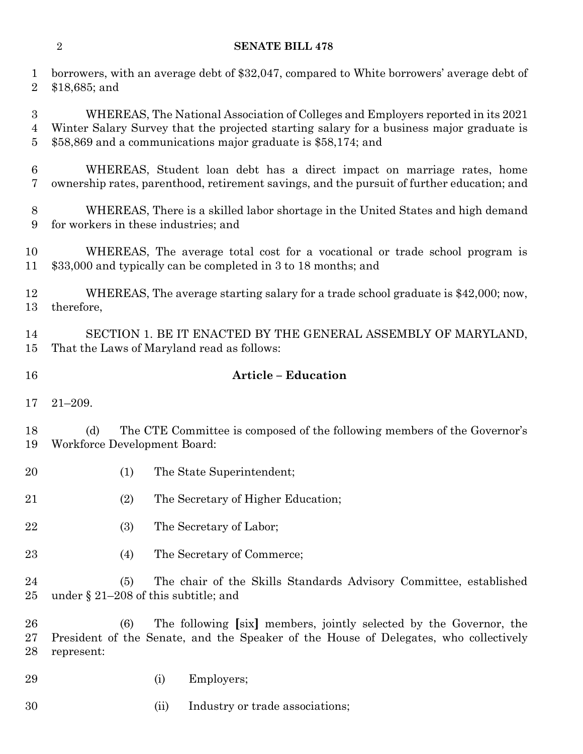#### **SENATE BILL 478**

 borrowers, with an average debt of \$32,047, compared to White borrowers' average debt of \$18,685; and

 WHEREAS, The National Association of Colleges and Employers reported in its 2021 Winter Salary Survey that the projected starting salary for a business major graduate is \$58,869 and a communications major graduate is \$58,174; and

 WHEREAS, Student loan debt has a direct impact on marriage rates, home ownership rates, parenthood, retirement savings, and the pursuit of further education; and

 WHEREAS, There is a skilled labor shortage in the United States and high demand for workers in these industries; and

 WHEREAS, The average total cost for a vocational or trade school program is \$33,000 and typically can be completed in 3 to 18 months; and

 WHEREAS, The average starting salary for a trade school graduate is \$42,000; now, therefore,

 SECTION 1. BE IT ENACTED BY THE GENERAL ASSEMBLY OF MARYLAND, That the Laws of Maryland read as follows:

## **Article – Education**

21–209.

 (d) The CTE Committee is composed of the following members of the Governor's Workforce Development Board:

- (1) The State Superintendent;
- (2) The Secretary of Higher Education;
- 22 (3) The Secretary of Labor;
- (4) The Secretary of Commerce;

 (5) The chair of the Skills Standards Advisory Committee, established under § 21–208 of this subtitle; and

 (6) The following **[**six**]** members, jointly selected by the Governor, the President of the Senate, and the Speaker of the House of Delegates, who collectively represent:

(i) Employers;

(ii) Industry or trade associations;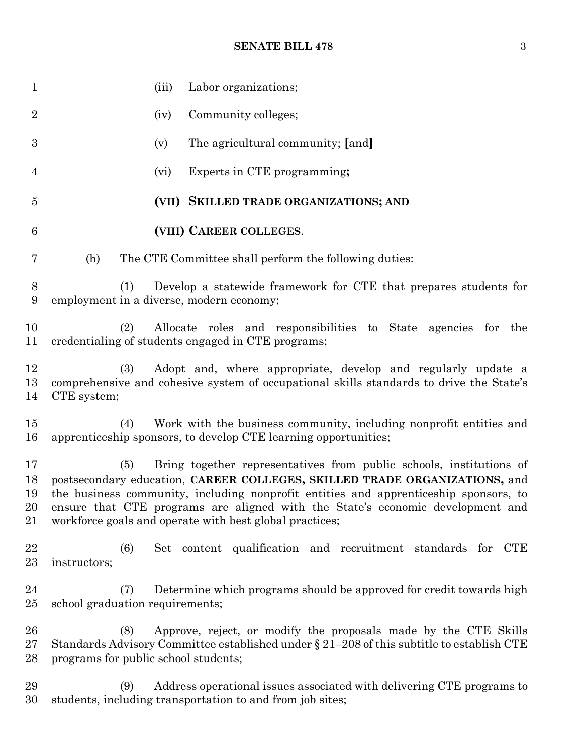## **SENATE BILL 478** 3

| $\mathbf{1}$               | (iii)                                                                                                                                                                                                                                                                                                                                                                                         | Labor organizations;                                                                                                                                         |
|----------------------------|-----------------------------------------------------------------------------------------------------------------------------------------------------------------------------------------------------------------------------------------------------------------------------------------------------------------------------------------------------------------------------------------------|--------------------------------------------------------------------------------------------------------------------------------------------------------------|
| $\overline{2}$             | (iv)                                                                                                                                                                                                                                                                                                                                                                                          | Community colleges;                                                                                                                                          |
| $\boldsymbol{3}$           | (v)                                                                                                                                                                                                                                                                                                                                                                                           | The agricultural community; [and]                                                                                                                            |
| 4                          | (vi)                                                                                                                                                                                                                                                                                                                                                                                          | Experts in CTE programming;                                                                                                                                  |
| $\overline{5}$             |                                                                                                                                                                                                                                                                                                                                                                                               | (VII) SKILLED TRADE ORGANIZATIONS; AND                                                                                                                       |
| 6                          |                                                                                                                                                                                                                                                                                                                                                                                               | (VIII) CAREER COLLEGES.                                                                                                                                      |
| 7                          | (h)                                                                                                                                                                                                                                                                                                                                                                                           | The CTE Committee shall perform the following duties:                                                                                                        |
| 8<br>9                     | (1)<br>employment in a diverse, modern economy;                                                                                                                                                                                                                                                                                                                                               | Develop a statewide framework for CTE that prepares students for                                                                                             |
| 10<br>11                   | (2)                                                                                                                                                                                                                                                                                                                                                                                           | Allocate roles and responsibilities to State agencies for the<br>credentialing of students engaged in CTE programs;                                          |
| 12<br>13<br>14             | Adopt and, where appropriate, develop and regularly update a<br>(3)<br>comprehensive and cohesive system of occupational skills standards to drive the State's<br>CTE system;                                                                                                                                                                                                                 |                                                                                                                                                              |
| 15<br>16                   | (4)                                                                                                                                                                                                                                                                                                                                                                                           | Work with the business community, including nonprofit entities and<br>apprenticeship sponsors, to develop CTE learning opportunities;                        |
| 17<br>18<br>19<br>20<br>21 | Bring together representatives from public schools, institutions of<br>(5)<br>postsecondary education, CAREER COLLEGES, SKILLED TRADE ORGANIZATIONS, and<br>the business community, including nonprofit entities and apprenticeship sponsors, to<br>ensure that CTE programs are aligned with the State's economic development and<br>workforce goals and operate with best global practices; |                                                                                                                                                              |
| 22<br>23                   | (6)<br>instructors;                                                                                                                                                                                                                                                                                                                                                                           | Set content qualification and recruitment standards for<br>CTE                                                                                               |
| 24<br>25                   | (7)<br>school graduation requirements;                                                                                                                                                                                                                                                                                                                                                        | Determine which programs should be approved for credit towards high                                                                                          |
| 26<br>$27\,$<br>28         | (8)<br>programs for public school students;                                                                                                                                                                                                                                                                                                                                                   | Approve, reject, or modify the proposals made by the CTE Skills<br>Standards Advisory Committee established under § 21-208 of this subtitle to establish CTE |
| 29<br>30                   | (9)                                                                                                                                                                                                                                                                                                                                                                                           | Address operational issues associated with delivering CTE programs to<br>students, including transportation to and from job sites;                           |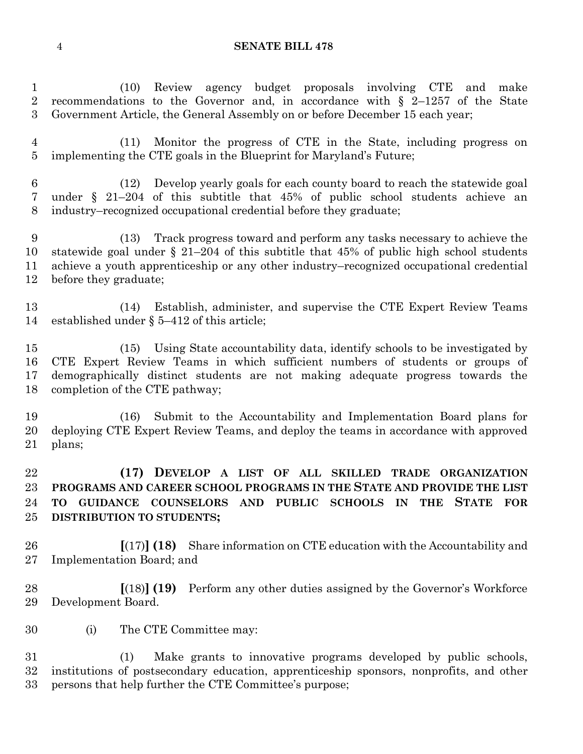#### **SENATE BILL 478**

 (10) Review agency budget proposals involving CTE and make recommendations to the Governor and, in accordance with § 2–1257 of the State Government Article, the General Assembly on or before December 15 each year;

 (11) Monitor the progress of CTE in the State, including progress on implementing the CTE goals in the Blueprint for Maryland's Future;

 (12) Develop yearly goals for each county board to reach the statewide goal under § 21–204 of this subtitle that 45% of public school students achieve an industry–recognized occupational credential before they graduate;

 (13) Track progress toward and perform any tasks necessary to achieve the statewide goal under § 21–204 of this subtitle that 45% of public high school students achieve a youth apprenticeship or any other industry–recognized occupational credential before they graduate;

 (14) Establish, administer, and supervise the CTE Expert Review Teams established under § 5–412 of this article;

 (15) Using State accountability data, identify schools to be investigated by CTE Expert Review Teams in which sufficient numbers of students or groups of demographically distinct students are not making adequate progress towards the completion of the CTE pathway;

 (16) Submit to the Accountability and Implementation Board plans for deploying CTE Expert Review Teams, and deploy the teams in accordance with approved plans;

 **(17) DEVELOP A LIST OF ALL SKILLED TRADE ORGANIZATION PROGRAMS AND CAREER SCHOOL PROGRAMS IN THE STATE AND PROVIDE THE LIST TO GUIDANCE COUNSELORS AND PUBLIC SCHOOLS IN THE STATE FOR DISTRIBUTION TO STUDENTS;**

 **[**(17)**] (18)** Share information on CTE education with the Accountability and Implementation Board; and

 **[**(18)**] (19)** Perform any other duties assigned by the Governor's Workforce Development Board.

(i) The CTE Committee may:

 (1) Make grants to innovative programs developed by public schools, institutions of postsecondary education, apprenticeship sponsors, nonprofits, and other persons that help further the CTE Committee's purpose;